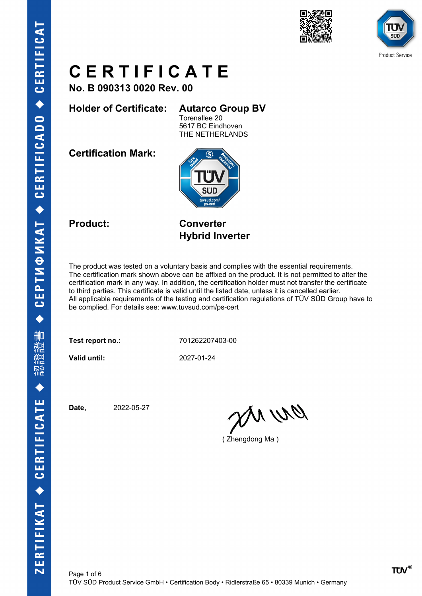



**No. B 090313 0020 Rev. 00**

**Holder of Certificate: Autarco Group BV**

Torenallee 20 5617 BC Eindhoven THE NETHERLANDS

**Certification Mark:**



**Product: Converter Hybrid Inverter**

The product was tested on a voluntary basis and complies with the essential requirements. The certification mark shown above can be affixed on the product. It is not permitted to alter the certification mark in any way. In addition, the certification holder must not transfer the certificate to third parties. This certificate is valid until the listed date, unless it is cancelled earlier. All applicable requirements of the testing and certification regulations of TÜV SÜD Group have to be complied. For details see: www.tuvsud.com/ps-cert

**Test report no.:** 701262207403-00

**Valid until:** 2027-01-24

**Date,** 2022-05-27

an wa

( Zhengdong Ma )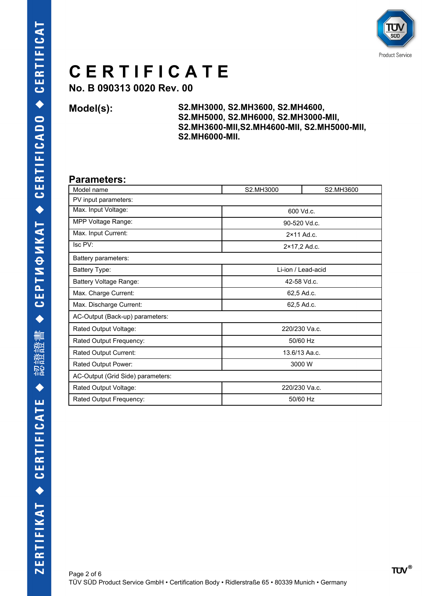

**No. B 090313 0020 Rev. 00**

**Model(s): S2.MH3000, S2.MH3600, S2.MH4600, S2.MH5000, S2.MH6000, S2.MH3000-MII, S2.MH3600-MII,S2.MH4600-MII, S2.MH5000-MII, S2.MH6000-MII.**

#### **Parameters:**

| Model name                        | S2.MH3000          | S2.MH3600 |  |  |
|-----------------------------------|--------------------|-----------|--|--|
| PV input parameters:              |                    |           |  |  |
| Max. Input Voltage:               | 600 Vd.c.          |           |  |  |
| MPP Voltage Range:                | 90-520 Vd.c.       |           |  |  |
| Max. Input Current:               | 2×11 Ad.c.         |           |  |  |
| Isc PV:                           | 2×17,2 Ad.c.       |           |  |  |
| Battery parameters:               |                    |           |  |  |
| Battery Type:                     | Li-ion / Lead-acid |           |  |  |
| <b>Battery Voltage Range:</b>     | 42-58 Vd.c.        |           |  |  |
| Max. Charge Current:              | 62,5 Ad.c.         |           |  |  |
| Max. Discharge Current:           | 62,5 Ad.c.         |           |  |  |
| AC-Output (Back-up) parameters:   |                    |           |  |  |
| Rated Output Voltage:             | 220/230 Va.c.      |           |  |  |
| Rated Output Frequency:           | 50/60 Hz           |           |  |  |
| Rated Output Current:             | 13.6/13 Aa.c.      |           |  |  |
| Rated Output Power:               | 3000 W             |           |  |  |
| AC-Output (Grid Side) parameters: |                    |           |  |  |
| Rated Output Voltage:             | 220/230 Va.c.      |           |  |  |
| Rated Output Frequency:           | 50/60 Hz           |           |  |  |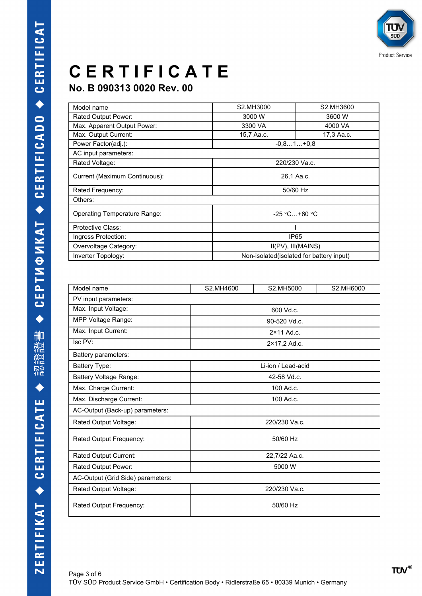

### **No. B 090313 0020 Rev. 00**

| S2.MH3000<br>3000 W                       | S2.MH3600  |  |  |
|-------------------------------------------|------------|--|--|
|                                           |            |  |  |
|                                           | 3600 W     |  |  |
| 3300 VA                                   | 4000 VA    |  |  |
| 15,7 Aa.c.                                | 17,3 Aa.c. |  |  |
| $-0.81+0.8$                               |            |  |  |
|                                           |            |  |  |
| 220/230 Va.c.                             |            |  |  |
| 26,1 Aa.c.                                |            |  |  |
| 50/60 Hz                                  |            |  |  |
| Others:                                   |            |  |  |
| $-25$ °C+60 °C                            |            |  |  |
|                                           |            |  |  |
| IP <sub>65</sub>                          |            |  |  |
| II(PV), III(MAINS)                        |            |  |  |
| Non-isolated (isolated for battery input) |            |  |  |
|                                           |            |  |  |

| Model name                        | S2.MH4600          | S2.MH5000           | S2.MH6000 |  |
|-----------------------------------|--------------------|---------------------|-----------|--|
| PV input parameters:              |                    |                     |           |  |
| Max. Input Voltage:               | 600 Vd.c.          |                     |           |  |
| MPP Voltage Range:                |                    | 90-520 Vd.c.        |           |  |
| Max. Input Current:               |                    | $2 \times 11$ Ad.c. |           |  |
| Isc PV:                           |                    | 2×17,2 Ad.c.        |           |  |
| Battery parameters:               |                    |                     |           |  |
| Battery Type:                     | Li-ion / Lead-acid |                     |           |  |
| <b>Battery Voltage Range:</b>     | 42-58 Vd.c.        |                     |           |  |
| Max. Charge Current:              | 100 Ad.c.          |                     |           |  |
| Max. Discharge Current:           | 100 Ad.c.          |                     |           |  |
| AC-Output (Back-up) parameters:   |                    |                     |           |  |
| Rated Output Voltage:             | 220/230 Va.c.      |                     |           |  |
| Rated Output Frequency:           | 50/60 Hz           |                     |           |  |
| Rated Output Current:             | 22,7/22 Aa.c.      |                     |           |  |
| Rated Output Power:               | 5000 W             |                     |           |  |
| AC-Output (Grid Side) parameters: |                    |                     |           |  |
| Rated Output Voltage:             | 220/230 Va.c.      |                     |           |  |
| Rated Output Frequency:           | 50/60 Hz           |                     |           |  |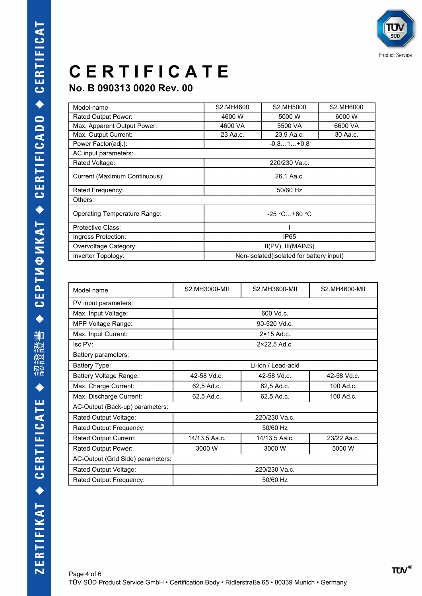

#### **No. B 090313 0020 Rev. 00**

| Model name                    | S2.MH4600                                 | S2.MH5000   | S2.MH6000 |
|-------------------------------|-------------------------------------------|-------------|-----------|
| Rated Output Power:           | 4600 W                                    | 5000 W      | 6000 W    |
| Max. Apparent Output Power:   | 4600 VA                                   | 5500 VA     | 6600 VA   |
| Max. Output Current:          | 23 Aa.c.                                  | 23,9 Aa.c.  | 30 Aa.c.  |
| Power Factor(adj.):           |                                           | $-0.81+0.8$ |           |
| AC input parameters:          |                                           |             |           |
| Rated Voltage:                | 220/230 Va.c.                             |             |           |
| Current (Maximum Continuous): | 26,1 Aa.c.                                |             |           |
| Rated Frequency:              | 50/60 Hz                                  |             |           |
| Others:                       |                                           |             |           |
| Operating Temperature Range:  | $-25$ °C +60 °C                           |             |           |
| Protective Class:             |                                           |             |           |
| Ingress Protection:           | IP <sub>65</sub>                          |             |           |
| Overvoltage Category:         | II(PV), III(MAINS)                        |             |           |
| Inverter Topology:            | Non-isolated (isolated for battery input) |             |           |

| Model name                        | S2.MH3000-MII                         | S2.MH3600-MII       | S2.MH4600-MII |  |
|-----------------------------------|---------------------------------------|---------------------|---------------|--|
| PV input parameters:              |                                       |                     |               |  |
| Max. Input Voltage:               |                                       | 600 Vd.c.           |               |  |
| MPP Voltage Range:                |                                       | 90-520 Vd.c.        |               |  |
| Max. Input Current:               |                                       | $2 \times 15$ Ad.c. |               |  |
| Isc PV:                           | 2×22,5 Ad.c.                          |                     |               |  |
| Battery parameters:               |                                       |                     |               |  |
| Battery Type:                     | Li-ion / Lead-acid                    |                     |               |  |
| Battery Voltage Range:            | 42-58 Vd.c.                           | 42-58 Vd.c.         | 42-58 Vd.c.   |  |
| Max. Charge Current:              | 62.5 Ad.c.                            | 62.5 Ad.c.          | 100 Ad.c.     |  |
| Max. Discharge Current:           | 100 Ad.c.<br>62.5 Ad.c.<br>62,5 Ad.c. |                     |               |  |
| AC-Output (Back-up) parameters:   |                                       |                     |               |  |
| Rated Output Voltage:             | 220/230 Va.c.                         |                     |               |  |
| Rated Output Frequency:           | 50/60 Hz                              |                     |               |  |
| Rated Output Current:             | 14/13,5 Aa.c.                         | 14/13,5 Aa.c.       | 23/22 Aa.c.   |  |
| Rated Output Power:               | 3000 W                                | 3000 W              | 5000 W        |  |
| AC-Output (Grid Side) parameters: |                                       |                     |               |  |
| Rated Output Voltage:             | 220/230 Va.c.                         |                     |               |  |
| Rated Output Frequency:           | 50/60 Hz                              |                     |               |  |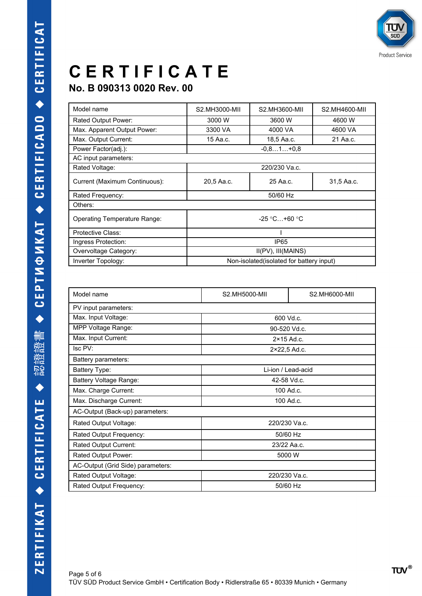

#### **No. B 090313 0020 Rev. 00**

| Model name                    | S2.MH3000-MII                             | S2.MH3600-MII | S2.MH4600-MII |
|-------------------------------|-------------------------------------------|---------------|---------------|
| Rated Output Power:           | 3000 W                                    | 3600 W        | 4600 W        |
| Max. Apparent Output Power:   | 3300 VA                                   | 4000 VA       | 4600 VA       |
| Max. Output Current:          | 15 Aa.c.                                  | 18,5 Aa.c.    | 21 Aa.c.      |
| Power Factor(adj.):           | $-0.81+0.8$                               |               |               |
| AC input parameters:          |                                           |               |               |
| Rated Voltage:                | 220/230 Va.c.                             |               |               |
| Current (Maximum Continuous): | 20,5 Aa.c.                                | 25 Aa.c.      | 31,5 Aa.c.    |
| Rated Frequency:              | 50/60 Hz                                  |               |               |
| Others:                       |                                           |               |               |
| Operating Temperature Range:  | $-25$ °C +60 °C                           |               |               |
| Protective Class:             |                                           |               |               |
| Ingress Protection:           | IP <sub>65</sub>                          |               |               |
| Overvoltage Category:         | II(PV), III(MAINS)                        |               |               |
| Inverter Topology:            | Non-isolated (isolated for battery input) |               |               |

| Model name                        | S2.MH5000-MII       | S2.MH6000-MII      |  |  |
|-----------------------------------|---------------------|--------------------|--|--|
| PV input parameters:              |                     |                    |  |  |
| Max. Input Voltage:               |                     | 600 Vd.c.          |  |  |
| MPP Voltage Range:                |                     | 90-520 Vd.c.       |  |  |
| Max. Input Current:               | $2 \times 15$ Ad.c. |                    |  |  |
| Isc PV:                           |                     | 2×22,5 Ad.c.       |  |  |
| Battery parameters:               |                     |                    |  |  |
| Battery Type:                     |                     | Li-ion / Lead-acid |  |  |
| Battery Voltage Range:            |                     | 42-58 Vd.c.        |  |  |
| Max. Charge Current:              | 100 Ad.c.           |                    |  |  |
| Max. Discharge Current:           | 100 Ad.c.           |                    |  |  |
| AC-Output (Back-up) parameters:   |                     |                    |  |  |
| Rated Output Voltage:             | 220/230 Va.c.       |                    |  |  |
| Rated Output Frequency:           | 50/60 Hz            |                    |  |  |
| Rated Output Current:             | 23/22 Aa.c.         |                    |  |  |
| Rated Output Power:               | 5000 W              |                    |  |  |
| AC-Output (Grid Side) parameters: |                     |                    |  |  |
| Rated Output Voltage:             | 220/230 Va.c.       |                    |  |  |
| Rated Output Frequency:           | 50/60 Hz            |                    |  |  |